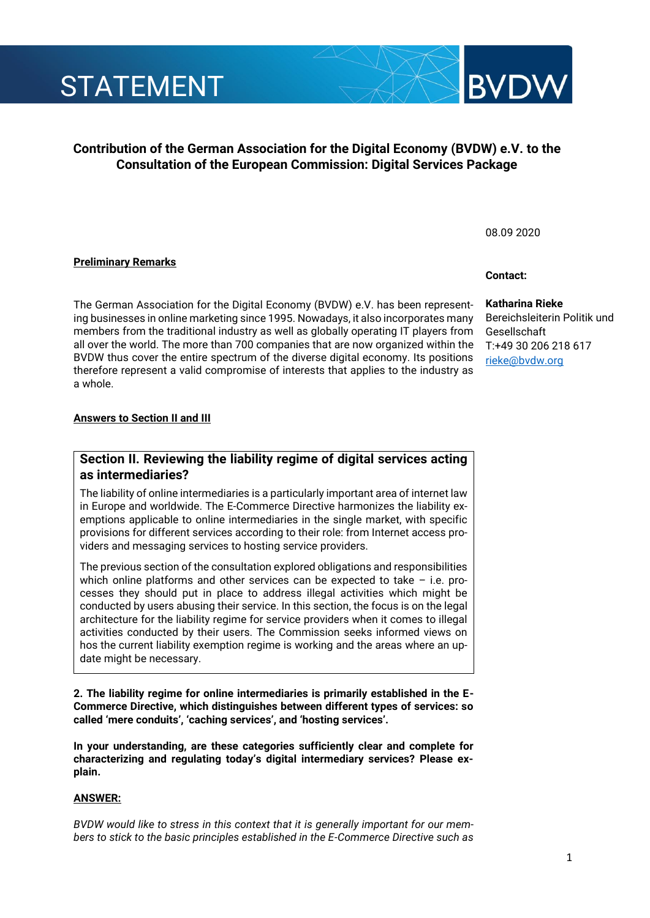# **Contribution of the German Association for the Digital Economy (BVDW) e.V. to the Consultation of the European Commission: Digital Services Package**

## **Preliminary Remarks**

The German Association for the Digital Economy (BVDW) e.V. has been representing businesses in online marketing since 1995. Nowadays, it also incorporates many members from the traditional industry as well as globally operating IT players from all over the world. The more than 700 companies that are now organized within the BVDW thus cover the entire spectrum of the diverse digital economy. Its positions therefore represent a valid compromise of interests that applies to the industry as a whole.

### **Answers to Section II and III**

# **Section II. Reviewing the liability regime of digital services acting as intermediaries?**

The liability of online intermediaries is a particularly important area of internet law in Europe and worldwide. The E-Commerce Directive harmonizes the liability exemptions applicable to online intermediaries in the single market, with specific provisions for different services according to their role: from Internet access providers and messaging services to hosting service providers.

The previous section of the consultation explored obligations and responsibilities which online platforms and other services can be expected to take – i.e. processes they should put in place to address illegal activities which might be conducted by users abusing their service. In this section, the focus is on the legal architecture for the liability regime for service providers when it comes to illegal activities conducted by their users. The Commission seeks informed views on hos the current liability exemption regime is working and the areas where an update might be necessary.

**2. The liability regime for online intermediaries is primarily established in the E-Commerce Directive, which distinguishes between different types of services: so called 'mere conduits', 'caching services', and 'hosting services'.**

**In your understanding, are these categories sufficiently clear and complete for characterizing and regulating today's digital intermediary services? Please explain.**

### **ANSWER:**

*BVDW would like to stress in this context that it is generally important for our members to stick to the basic principles established in the E-Commerce Directive such as* 

# **Contact:**

08.09 2020

### **Katharina Rieke**

Bereichsleiterin Politik und Gesellschaft T:+49 30 206 218 617 [rieke@bvdw.org](mailto:rieke@bvdw.org)



**BVD** 

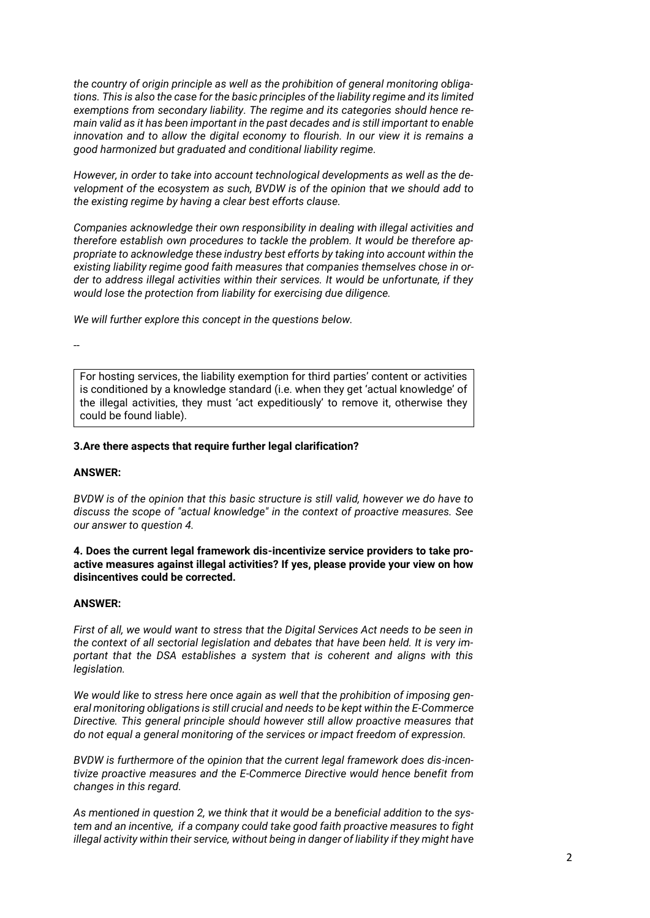*the country of origin principle as well as the prohibition of general monitoring obligations. This is also the case for the basic principles of the liability regime and its limited exemptions from secondary liability. The regime and its categories should hence remain valid as it has been important in the past decades and is still important to enable innovation and to allow the digital economy to flourish. In our view it is remains a good harmonized but graduated and conditional liability regime.* 

*However, in order to take into account technological developments as well as the development of the ecosystem as such, BVDW is of the opinion that we should add to the existing regime by having a clear best efforts clause.* 

*Companies acknowledge their own responsibility in dealing with illegal activities and therefore establish own procedures to tackle the problem. It would be therefore appropriate to acknowledge these industry best efforts by taking into account within the existing liability regime good faith measures that companies themselves chose in order to address illegal activities within their services. It would be unfortunate, if they would lose the protection from liability for exercising due diligence.*

*We will further explore this concept in the questions below.* 

--

For hosting services, the liability exemption for third parties' content or activities is conditioned by a knowledge standard (i.e. when they get 'actual knowledge' of the illegal activities, they must 'act expeditiously' to remove it, otherwise they could be found liable).

### **3.Are there aspects that require further legal clarification?**

#### **ANSWER:**

*BVDW is of the opinion that this basic structure is still valid, however we do have to discuss the scope of "actual knowledge" in the context of proactive measures. See our answer to question 4.* 

**4. Does the current legal framework dis-incentivize service providers to take proactive measures against illegal activities? If yes, please provide your view on how disincentives could be corrected.**

#### **ANSWER:**

*First of all, we would want to stress that the Digital Services Act needs to be seen in the context of all sectorial legislation and debates that have been held. It is very important that the DSA establishes a system that is coherent and aligns with this legislation.* 

*We would like to stress here once again as well that the prohibition of imposing general monitoring obligations is still crucial and needs to be kept within the E-Commerce Directive. This general principle should however still allow proactive measures that do not equal a general monitoring of the services or impact freedom of expression.* 

*BVDW is furthermore of the opinion that the current legal framework does dis-incentivize proactive measures and the E-Commerce Directive would hence benefit from changes in this regard.*

*As mentioned in question 2, we think that it would be a beneficial addition to the system and an incentive, if a company could take good faith proactive measures to fight illegal activity within their service, without being in danger of liability if they might have*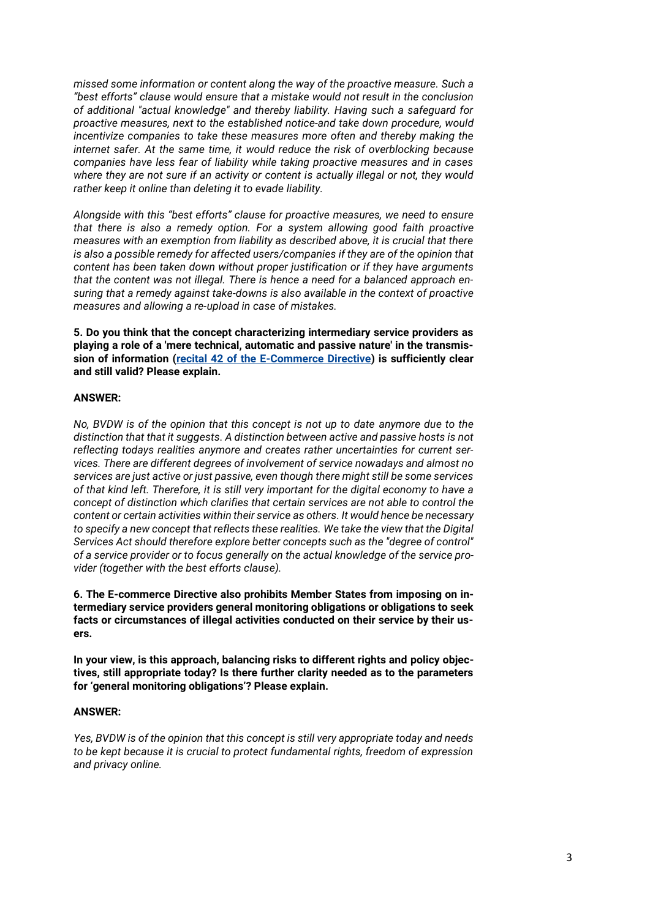*missed some information or content along the way of the proactive measure. Such a "best efforts" clause would ensure that a mistake would not result in the conclusion of additional "actual knowledge" and thereby liability. Having such a safeguard for proactive measures, next to the established notice-and take down procedure, would incentivize companies to take these measures more often and thereby making the internet safer. At the same time, it would reduce the risk of overblocking because companies have less fear of liability while taking proactive measures and in cases where they are not sure if an activity or content is actually illegal or not, they would rather keep it online than deleting it to evade liability.* 

*Alongside with this "best efforts" clause for proactive measures, we need to ensure that there is also a remedy option. For a system allowing good faith proactive measures with an exemption from liability as described above, it is crucial that there is also a possible remedy for affected users/companies if they are of the opinion that content has been taken down without proper justification or if they have arguments that the content was not illegal. There is hence a need for a balanced approach ensuring that a remedy against take-downs is also available in the context of proactive measures and allowing a re-upload in case of mistakes.* 

**5. Do you think that the concept characterizing intermediary service providers as playing a role of a 'mere technical, automatic and passive nature' in the transmission of information [\(recital 42 of the E-Commerce Directive\)](https://eur-lex.europa.eu/legal-content/EN/ALL/?uri=CELEX%3A32000L0031) is sufficiently clear and still valid? Please explain.** 

### **ANSWER:**

*No, BVDW is of the opinion that this concept is not up to date anymore due to the distinction that that it suggests. A distinction between active and passive hosts is not reflecting todays realities anymore and creates rather uncertainties for current services. There are different degrees of involvement of service nowadays and almost no services are just active or just passive, even though there might still be some services of that kind left. Therefore, it is still very important for the digital economy to have a concept of distinction which clarifies that certain services are not able to control the content or certain activities within their service as others. It would hence be necessary to specify a new concept that reflects these realities. We take the view that the Digital Services Act should therefore explore better concepts such as the "degree of control" of a service provider or to focus generally on the actual knowledge of the service provider (together with the best efforts clause).*

**6. The E-commerce Directive also prohibits Member States from imposing on intermediary service providers general monitoring obligations or obligations to seek facts or circumstances of illegal activities conducted on their service by their users.** 

**In your view, is this approach, balancing risks to different rights and policy objectives, still appropriate today? Is there further clarity needed as to the parameters for 'general monitoring obligations'? Please explain.** 

### **ANSWER:**

*Yes, BVDW is of the opinion that this concept is still very appropriate today and needs to be kept because it is crucial to protect fundamental rights, freedom of expression and privacy online.*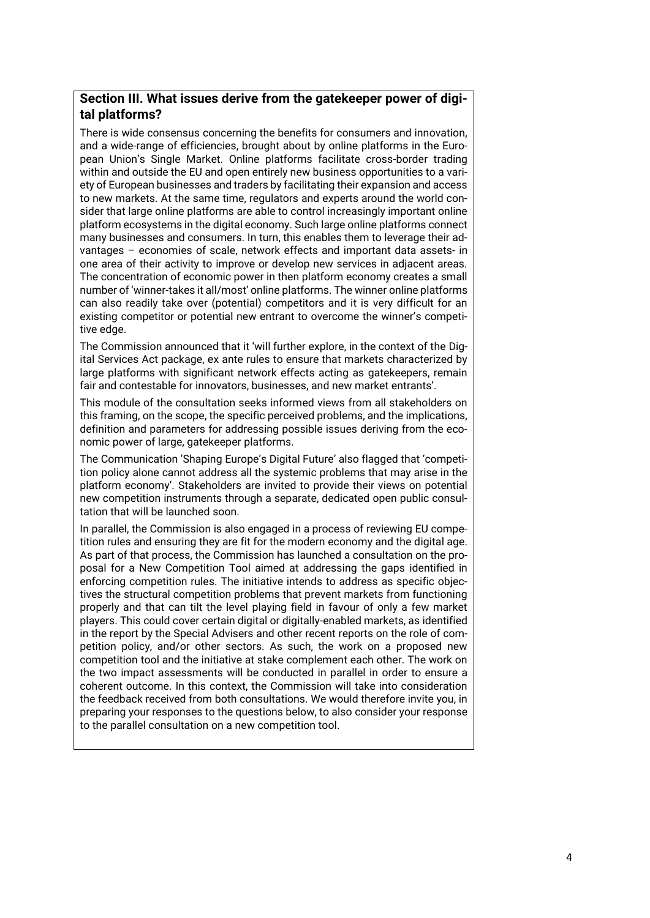# **Section III. What issues derive from the gatekeeper power of digital platforms?**

There is wide consensus concerning the benefits for consumers and innovation, and a wide-range of efficiencies, brought about by online platforms in the European Union's Single Market. Online platforms facilitate cross-border trading within and outside the EU and open entirely new business opportunities to a variety of European businesses and traders by facilitating their expansion and access to new markets. At the same time, regulators and experts around the world consider that large online platforms are able to control increasingly important online platform ecosystems in the digital economy. Such large online platforms connect many businesses and consumers. In turn, this enables them to leverage their advantages – economies of scale, network effects and important data assets- in one area of their activity to improve or develop new services in adjacent areas. The concentration of economic power in then platform economy creates a small number of 'winner-takes it all/most' online platforms. The winner online platforms can also readily take over (potential) competitors and it is very difficult for an existing competitor or potential new entrant to overcome the winner's competitive edge.

The Commission announced that it 'will further explore, in the context of the Digital Services Act package, ex ante rules to ensure that markets characterized by large platforms with significant network effects acting as gatekeepers, remain fair and contestable for innovators, businesses, and new market entrants'.

This module of the consultation seeks informed views from all stakeholders on this framing, on the scope, the specific perceived problems, and the implications, definition and parameters for addressing possible issues deriving from the economic power of large, gatekeeper platforms.

The Communication 'Shaping Europe's Digital Future' also flagged that 'competition policy alone cannot address all the systemic problems that may arise in the platform economy'. Stakeholders are invited to provide their views on potential new competition instruments through a separate, dedicated open public consultation that will be launched soon.

In parallel, the Commission is also engaged in a process of reviewing EU competition rules and ensuring they are fit for the modern economy and the digital age. As part of that process, the Commission has launched a consultation on the proposal for a New Competition Tool aimed at addressing the gaps identified in enforcing competition rules. The initiative intends to address as specific objectives the structural competition problems that prevent markets from functioning properly and that can tilt the level playing field in favour of only a few market players. This could cover certain digital or digitally-enabled markets, as identified in the report by the Special Advisers and other recent reports on the role of competition policy, and/or other sectors. As such, the work on a proposed new competition tool and the initiative at stake complement each other. The work on the two impact assessments will be conducted in parallel in order to ensure a coherent outcome. In this context, the Commission will take into consideration the feedback received from both consultations. We would therefore invite you, in preparing your responses to the questions below, to also consider your response to the parallel consultation on a new competition tool.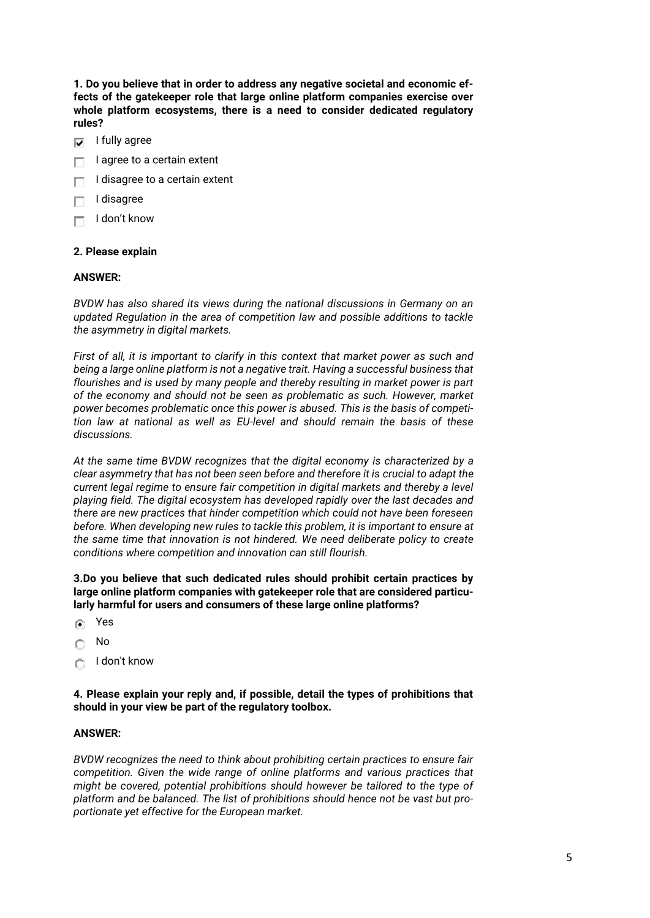**1. Do you believe that in order to address any negative societal and economic effects of the gatekeeper role that large online platform companies exercise over whole platform ecosystems, there is a need to consider dedicated regulatory rules?** 

- I fully agree  $\overline{\mathbf{v}}$
- I agree to a certain extent
- I disagree to a certain extent г
- I disagree
- I don't know Г

### **2. Please explain**

### **ANSWER:**

*BVDW has also shared its views during the national discussions in Germany on an updated Regulation in the area of competition law and possible additions to tackle the asymmetry in digital markets.* 

*First of all, it is important to clarify in this context that market power as such and being a large online platform is not a negative trait. Having a successful business that flourishes and is used by many people and thereby resulting in market power is part of the economy and should not be seen as problematic as such. However, market power becomes problematic once this power is abused. This is the basis of competition law at national as well as EU-level and should remain the basis of these discussions.* 

*At the same time BVDW recognizes that the digital economy is characterized by a clear asymmetry that has not been seen before and therefore it is crucial to adapt the current legal regime to ensure fair competition in digital markets and thereby a level playing field. The digital ecosystem has developed rapidly over the last decades and there are new practices that hinder competition which could not have been foreseen before. When developing new rules to tackle this problem, it is important to ensure at the same time that innovation is not hindered. We need deliberate policy to create conditions where competition and innovation can still flourish.* 

**3.Do you believe that such dedicated rules should prohibit certain practices by large online platform companies with gatekeeper role that are considered particularly harmful for users and consumers of these large online platforms?** 

- Yes  $\left( \widehat{\bullet }\right)$
- No C
- I don't know  $\bigcap$

**4. Please explain your reply and, if possible, detail the types of prohibitions that should in your view be part of the regulatory toolbox.**

### **ANSWER:**

*BVDW recognizes the need to think about prohibiting certain practices to ensure fair competition. Given the wide range of online platforms and various practices that might be covered, potential prohibitions should however be tailored to the type of platform and be balanced. The list of prohibitions should hence not be vast but proportionate yet effective for the European market.*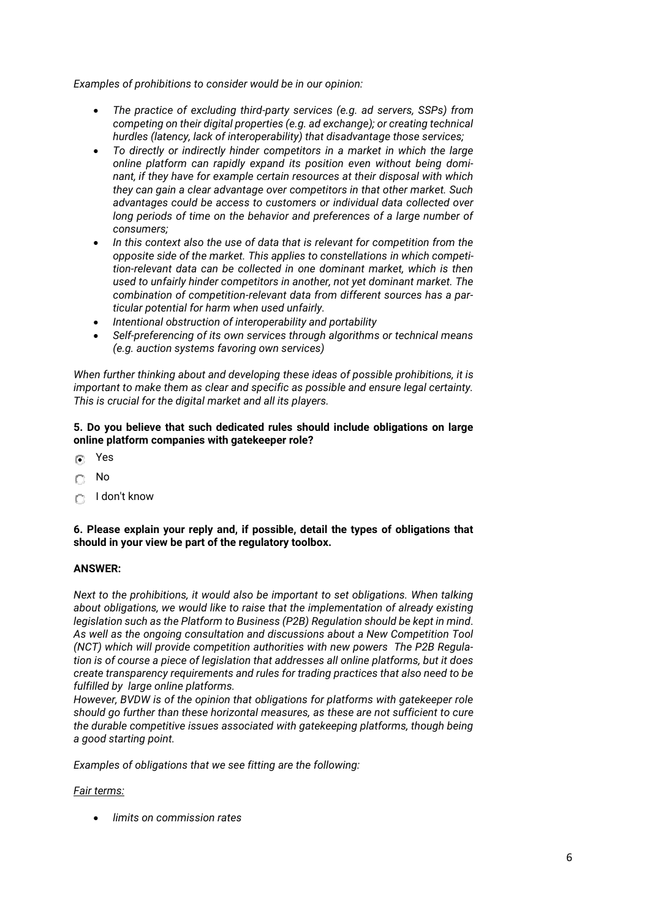*Examples of prohibitions to consider would be in our opinion:*

- *The practice of excluding third-party services (e.g. ad servers, SSPs) from competing on their digital properties (e.g. ad exchange); or creating technical hurdles (latency, lack of interoperability) that disadvantage those services;*
- *To directly or indirectly hinder competitors in a market in which the large online platform can rapidly expand its position even without being dominant, if they have for example certain resources at their disposal with which they can gain a clear advantage over competitors in that other market. Such advantages could be access to customers or individual data collected over long periods of time on the behavior and preferences of a large number of consumers;*
- *In this context also the use of data that is relevant for competition from the opposite side of the market. This applies to constellations in which competition-relevant data can be collected in one dominant market, which is then used to unfairly hinder competitors in another, not yet dominant market. The combination of competition-relevant data from different sources has a particular potential for harm when used unfairly.*
- *Intentional obstruction of interoperability and portability*
- *Self-preferencing of its own services through algorithms or technical means (e.g. auction systems favoring own services)*

*When further thinking about and developing these ideas of possible prohibitions, it is important to make them as clear and specific as possible and ensure legal certainty. This is crucial for the digital market and all its players.*

### **5. Do you believe that such dedicated rules should include obligations on large online platform companies with gatekeeper role?**

- $\sqrt{2}$ Yes
- No c
- I don't know O

**6. Please explain your reply and, if possible, detail the types of obligations that should in your view be part of the regulatory toolbox.** 

### **ANSWER:**

*Next to the prohibitions, it would also be important to set obligations. When talking about obligations, we would like to raise that the implementation of already existing legislation such as the Platform to Business (P2B) Regulation should be kept in mind. As well as the ongoing consultation and discussions about a New Competition Tool (NCT) which will provide competition authorities with new powers The P2B Regulation is of course a piece of legislation that addresses all online platforms, but it does create transparency requirements and rules for trading practices that also need to be fulfilled by large online platforms.* 

*However, BVDW is of the opinion that obligations for platforms with gatekeeper role should go further than these horizontal measures, as these are not sufficient to cure the durable competitive issues associated with gatekeeping platforms, though being a good starting point.*

*Examples of obligations that we see fitting are the following:*

### *Fair terms:*

• *limits on commission rates*